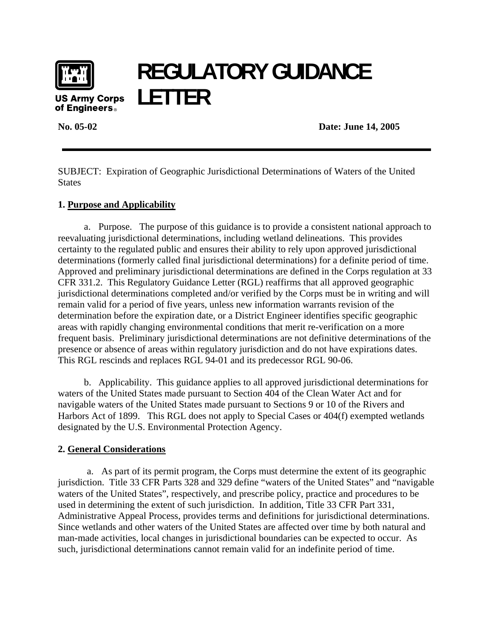

## **REGULATORY GUIDANCE LETTER**

of Engineers.

**No. 05-02 Date: June 14, 2005** 

SUBJECT: Expiration of Geographic Jurisdictional Determinations of Waters of the United **States** 

## **1. Purpose and Applicability**

a. Purpose.The purpose of this guidance is to provide a consistent national approach to reevaluating jurisdictional determinations, including wetland delineations. This provides certainty to the regulated public and ensures their ability to rely upon approved jurisdictional determinations (formerly called final jurisdictional determinations) for a definite period of time. Approved and preliminary jurisdictional determinations are defined in the Corps regulation at 33 CFR 331.2. This Regulatory Guidance Letter (RGL) reaffirms that all approved geographic jurisdictional determinations completed and/or verified by the Corps must be in writing and will remain valid for a period of five years, unless new information warrants revision of the determination before the expiration date, or a District Engineer identifies specific geographic areas with rapidly changing environmental conditions that merit re-verification on a more frequent basis. Preliminary jurisdictional determinations are not definitive determinations of the presence or absence of areas within regulatory jurisdiction and do not have expirations dates. This RGL rescinds and replaces RGL 94-01 and its predecessor RGL 90-06.

b. Applicability. This guidance applies to all approved jurisdictional determinations for waters of the United States made pursuant to Section 404 of the Clean Water Act and for navigable waters of the United States made pursuant to Sections 9 or 10 of the Rivers and Harbors Act of 1899. This RGL does not apply to Special Cases or 404(f) exempted wetlands designated by the U.S. Environmental Protection Agency.

## **2. General Considerations**

a. As part of its permit program, the Corps must determine the extent of its geographic jurisdiction. Title 33 CFR Parts 328 and 329 define "waters of the United States" and "navigable waters of the United States", respectively, and prescribe policy, practice and procedures to be used in determining the extent of such jurisdiction. In addition, Title 33 CFR Part 331, Administrative Appeal Process, provides terms and definitions for jurisdictional determinations. Since wetlands and other waters of the United States are affected over time by both natural and man-made activities, local changes in jurisdictional boundaries can be expected to occur. As such, jurisdictional determinations cannot remain valid for an indefinite period of time.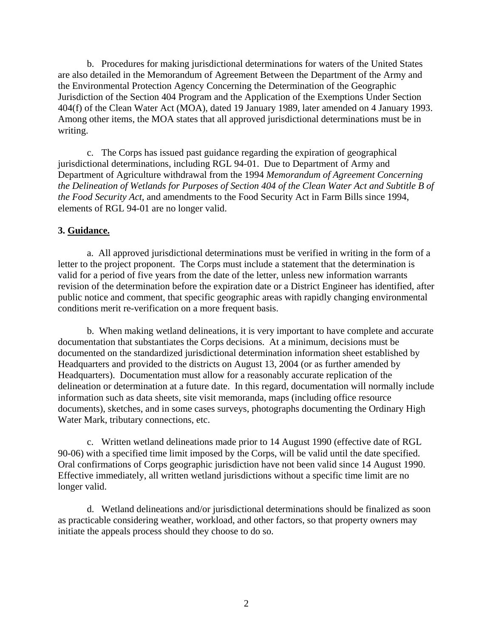b. Procedures for making jurisdictional determinations for waters of the United States are also detailed in the Memorandum of Agreement Between the Department of the Army and the Environmental Protection Agency Concerning the Determination of the Geographic Jurisdiction of the Section 404 Program and the Application of the Exemptions Under Section 404(f) of the Clean Water Act (MOA), dated 19 January 1989, later amended on 4 January 1993. Among other items, the MOA states that all approved jurisdictional determinations must be in writing.

c. The Corps has issued past guidance regarding the expiration of geographical jurisdictional determinations, including RGL 94-01. Due to Department of Army and Department of Agriculture withdrawal from the 1994 *Memorandum of Agreement Concerning the Delineation of Wetlands for Purposes of Section 404 of the Clean Water Act and Subtitle B of the Food Security Act*, and amendments to the Food Security Act in Farm Bills since 1994, elements of RGL 94-01 are no longer valid.

## **3. Guidance.**

a. All approved jurisdictional determinations must be verified in writing in the form of a letter to the project proponent. The Corps must include a statement that the determination is valid for a period of five years from the date of the letter, unless new information warrants revision of the determination before the expiration date or a District Engineer has identified, after public notice and comment, that specific geographic areas with rapidly changing environmental conditions merit re-verification on a more frequent basis.

b. When making wetland delineations, it is very important to have complete and accurate documentation that substantiates the Corps decisions. At a minimum, decisions must be documented on the standardized jurisdictional determination information sheet established by Headquarters and provided to the districts on August 13, 2004 (or as further amended by Headquarters). Documentation must allow for a reasonably accurate replication of the delineation or determination at a future date. In this regard, documentation will normally include information such as data sheets, site visit memoranda, maps (including office resource documents), sketches, and in some cases surveys, photographs documenting the Ordinary High Water Mark, tributary connections, etc.

c. Written wetland delineations made prior to 14 August 1990 (effective date of RGL 90-06) with a specified time limit imposed by the Corps, will be valid until the date specified. Oral confirmations of Corps geographic jurisdiction have not been valid since 14 August 1990. Effective immediately, all written wetland jurisdictions without a specific time limit are no longer valid.

d. Wetland delineations and/or jurisdictional determinations should be finalized as soon as practicable considering weather, workload, and other factors, so that property owners may initiate the appeals process should they choose to do so.